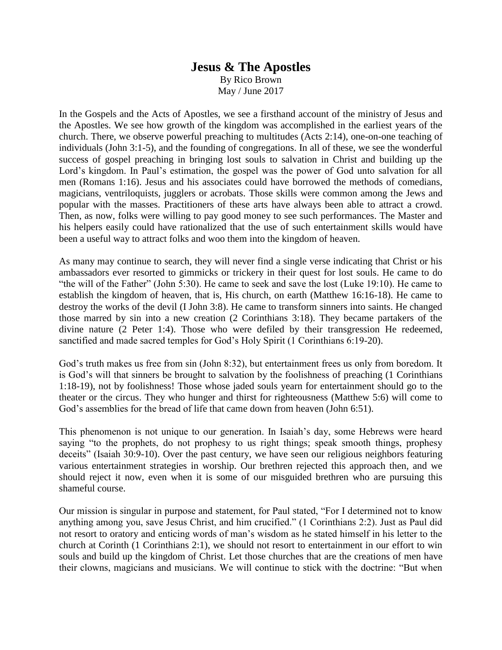## **Jesus & The Apostles** By Rico Brown May / June 2017

In the Gospels and the Acts of Apostles, we see a firsthand account of the ministry of Jesus and the Apostles. We see how growth of the kingdom was accomplished in the earliest years of the church. There, we observe powerful preaching to multitudes (Acts 2:14), one-on-one teaching of individuals (John 3:1-5), and the founding of congregations. In all of these, we see the wonderful success of gospel preaching in bringing lost souls to salvation in Christ and building up the Lord's kingdom. In Paul's estimation, the gospel was the power of God unto salvation for all men (Romans 1:16). Jesus and his associates could have borrowed the methods of comedians, magicians, ventriloquists, jugglers or acrobats. Those skills were common among the Jews and popular with the masses. Practitioners of these arts have always been able to attract a crowd. Then, as now, folks were willing to pay good money to see such performances. The Master and his helpers easily could have rationalized that the use of such entertainment skills would have been a useful way to attract folks and woo them into the kingdom of heaven.

As many may continue to search, they will never find a single verse indicating that Christ or his ambassadors ever resorted to gimmicks or trickery in their quest for lost souls. He came to do "the will of the Father" (John 5:30). He came to seek and save the lost (Luke 19:10). He came to establish the kingdom of heaven, that is, His church, on earth (Matthew 16:16-18). He came to destroy the works of the devil (I John 3:8). He came to transform sinners into saints. He changed those marred by sin into a new creation (2 Corinthians 3:18). They became partakers of the divine nature (2 Peter 1:4). Those who were defiled by their transgression He redeemed, sanctified and made sacred temples for God's Holy Spirit (1 Corinthians 6:19-20).

God's truth makes us free from sin (John 8:32), but entertainment frees us only from boredom. It is God's will that sinners be brought to salvation by the foolishness of preaching (1 Corinthians 1:18-19), not by foolishness! Those whose jaded souls yearn for entertainment should go to the theater or the circus. They who hunger and thirst for righteousness (Matthew 5:6) will come to God's assemblies for the bread of life that came down from heaven (John 6:51).

This phenomenon is not unique to our generation. In Isaiah's day, some Hebrews were heard saying "to the prophets, do not prophesy to us right things; speak smooth things, prophesy deceits" (Isaiah 30:9-10). Over the past century, we have seen our religious neighbors featuring various entertainment strategies in worship. Our brethren rejected this approach then, and we should reject it now, even when it is some of our misguided brethren who are pursuing this shameful course.

Our mission is singular in purpose and statement, for Paul stated, "For I determined not to know anything among you, save Jesus Christ, and him crucified." (1 Corinthians 2:2). Just as Paul did not resort to oratory and enticing words of man's wisdom as he stated himself in his letter to the church at Corinth (1 Corinthians 2:1), we should not resort to entertainment in our effort to win souls and build up the kingdom of Christ. Let those churches that are the creations of men have their clowns, magicians and musicians. We will continue to stick with the doctrine: "But when